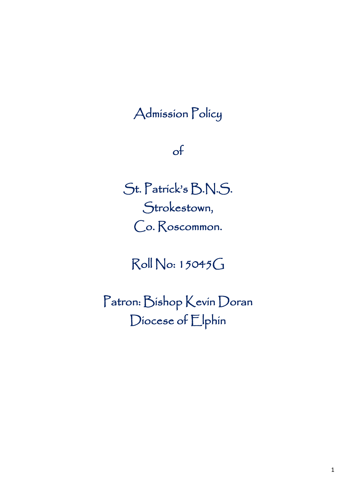# Admission Policy

## of

St. Patrick's B.N.S. Strokestown, Co. Roscommon.

Roll No: 15045G

Patron: Bishop Kevin Doran Diocese of Elphin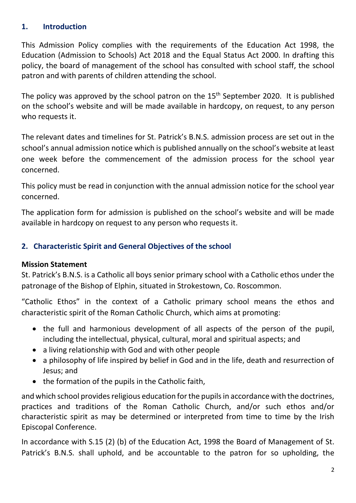## **1. Introduction**

This Admission Policy complies with the requirements of the Education Act 1998, the Education (Admission to Schools) Act 2018 and the Equal Status Act 2000. In drafting this policy, the board of management of the school has consulted with school staff, the school patron and with parents of children attending the school.

The policy was approved by the school patron on the  $15<sup>th</sup>$  September 2020. It is published on the school's website and will be made available in hardcopy, on request, to any person who requests it.

The relevant dates and timelines for St. Patrick's B.N.S. admission process are set out in the school's annual admission notice which is published annually on the school's website at least one week before the commencement of the admission process for the school year concerned.

This policy must be read in conjunction with the annual admission notice for the school year concerned.

The application form for admission is published on the school's website and will be made available in hardcopy on request to any person who requests it.

## **2. Characteristic Spirit and General Objectives of the school**

## **Mission Statement**

St. Patrick's B.N.S. is a Catholic all boys senior primary school with a Catholic ethos under the patronage of the Bishop of Elphin, situated in Strokestown, Co. Roscommon.

"Catholic Ethos" in the context of a Catholic primary school means the ethos and characteristic spirit of the Roman Catholic Church, which aims at promoting:

- the full and harmonious development of all aspects of the person of the pupil, including the intellectual, physical, cultural, moral and spiritual aspects; and
- a living relationship with God and with other people
- a philosophy of life inspired by belief in God and in the life, death and resurrection of Jesus; and
- the formation of the pupils in the Catholic faith,

and which school provides religious education for the pupils in accordance with the doctrines, practices and traditions of the Roman Catholic Church, and/or such ethos and/or characteristic spirit as may be determined or interpreted from time to time by the Irish Episcopal Conference.

In accordance with S.15 (2) (b) of the Education Act, 1998 the Board of Management of St. Patrick's B.N.S. shall uphold, and be accountable to the patron for so upholding, the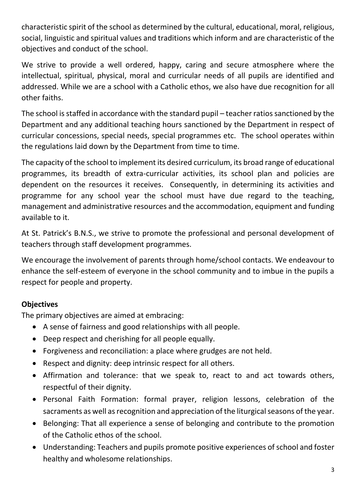characteristic spirit of the school as determined by the cultural, educational, moral, religious, social, linguistic and spiritual values and traditions which inform and are characteristic of the objectives and conduct of the school.

We strive to provide a well ordered, happy, caring and secure atmosphere where the intellectual, spiritual, physical, moral and curricular needs of all pupils are identified and addressed. While we are a school with a Catholic ethos, we also have due recognition for all other faiths.

The school is staffed in accordance with the standard pupil – teacher ratios sanctioned by the Department and any additional teaching hours sanctioned by the Department in respect of curricular concessions, special needs, special programmes etc. The school operates within the regulations laid down by the Department from time to time.

The capacity of the school to implement its desired curriculum, its broad range of educational programmes, its breadth of extra-curricular activities, its school plan and policies are dependent on the resources it receives. Consequently, in determining its activities and programme for any school year the school must have due regard to the teaching, management and administrative resources and the accommodation, equipment and funding available to it.

At St. Patrick's B.N.S., we strive to promote the professional and personal development of teachers through staff development programmes.

We encourage the involvement of parents through home/school contacts. We endeavour to enhance the self-esteem of everyone in the school community and to imbue in the pupils a respect for people and property.

## **Objectives**

The primary objectives are aimed at embracing:

- A sense of fairness and good relationships with all people.
- Deep respect and cherishing for all people equally.
- Forgiveness and reconciliation: a place where grudges are not held.
- Respect and dignity: deep intrinsic respect for all others.
- Affirmation and tolerance: that we speak to, react to and act towards others, respectful of their dignity.
- Personal Faith Formation: formal prayer, religion lessons, celebration of the sacraments as well as recognition and appreciation of the liturgical seasons of the year.
- Belonging: That all experience a sense of belonging and contribute to the promotion of the Catholic ethos of the school.
- Understanding: Teachers and pupils promote positive experiences of school and foster healthy and wholesome relationships.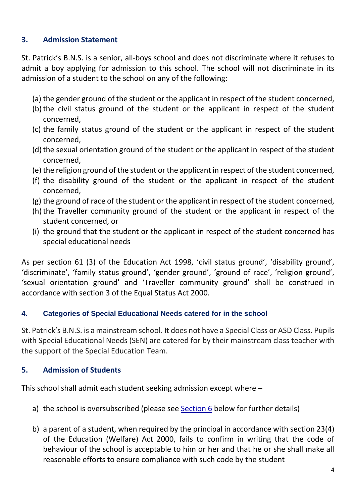## **3. Admission Statement**

St. Patrick's B.N.S. is a senior, all-boys school and does not discriminate where it refuses to admit a boy applying for admission to this school. The school will not discriminate in its admission of a student to the school on any of the following:

- (a) the gender ground of the student or the applicant in respect of the student concerned,
- (b)the civil status ground of the student or the applicant in respect of the student concerned,
- (c) the family status ground of the student or the applicant in respect of the student concerned,
- (d) the sexual orientation ground of the student or the applicant in respect of the student concerned,
- (e) the religion ground of the student or the applicant in respect of the student concerned,
- (f) the disability ground of the student or the applicant in respect of the student concerned,
- (g) the ground of race of the student or the applicant in respect of the student concerned,
- (h) the Traveller community ground of the student or the applicant in respect of the student concerned, or
- (i) the ground that the student or the applicant in respect of the student concerned has special educational needs

As per section 61 (3) of the Education Act 1998, 'civil status ground', 'disability ground', 'discriminate', 'family status ground', 'gender ground', 'ground of race', 'religion ground', 'sexual orientation ground' and 'Traveller community ground' shall be construed in accordance with section 3 of the Equal Status Act 2000.

## **4. Categories of Special Educational Needs catered for in the school**

St. Patrick's B.N.S. is a mainstream school. It does not have a Special Class or ASD Class. Pupils with Special Educational Needs (SEN) are catered for by their mainstream class teacher with the support of the Special Education Team.

## **5. Admission of Students**

This school shall admit each student seeking admission except where –

- a) the school is oversubscribed (please see [Section 6](#page-4-0) below for further details)
- b) a parent of a student, when required by the principal in accordance with section 23(4) of the Education (Welfare) Act 2000, fails to confirm in writing that the code of behaviour of the school is acceptable to him or her and that he or she shall make all reasonable efforts to ensure compliance with such code by the student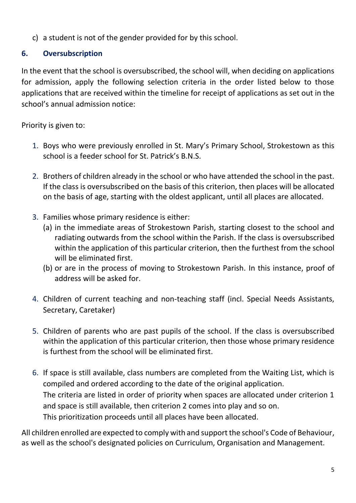c) a student is not of the gender provided for by this school.

## <span id="page-4-0"></span>**6. Oversubscription**

In the event that the school is oversubscribed, the school will, when deciding on applications for admission, apply the following selection criteria in the order listed below to those applications that are received within the timeline for receipt of applications as set out in the school's annual admission notice:

Priority is given to:

- 1. Boys who were previously enrolled in St. Mary's Primary School, Strokestown as this school is a feeder school for St. Patrick's B.N.S.
- 2. Brothers of children already in the school or who have attended the school in the past. If the class is oversubscribed on the basis of this criterion, then places will be allocated on the basis of age, starting with the oldest applicant, until all places are allocated.
- 3. Families whose primary residence is either:
	- (a) in the immediate areas of Strokestown Parish, starting closest to the school and radiating outwards from the school within the Parish. If the class is oversubscribed within the application of this particular criterion, then the furthest from the school will be eliminated first.
	- (b) or are in the process of moving to Strokestown Parish. In this instance, proof of address will be asked for.
- 4. Children of current teaching and non-teaching staff (incl. Special Needs Assistants, Secretary, Caretaker)
- 5. Children of parents who are past pupils of the school. If the class is oversubscribed within the application of this particular criterion, then those whose primary residence is furthest from the school will be eliminated first.
- 6. If space is still available, class numbers are completed from the Waiting List, which is compiled and ordered according to the date of the original application. The criteria are listed in order of priority when spaces are allocated under criterion 1 and space is still available, then criterion 2 comes into play and so on. This prioritization proceeds until all places have been allocated.

All children enrolled are expected to comply with and support the school's Code of Behaviour, as well as the school's designated policies on Curriculum, Organisation and Management.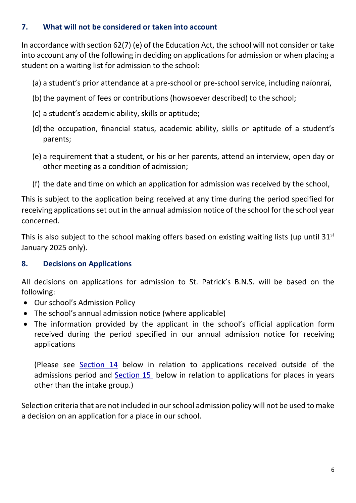## **7. What will not be considered or taken into account**

In accordance with section 62(7) (e) of the Education Act, the school will not consider or take into account any of the following in deciding on applications for admission or when placing a student on a waiting list for admission to the school:

- (a) a student's prior attendance at a pre-school or pre-school service, including naíonraí,
- (b) the payment of fees or contributions (howsoever described) to the school;
- (c) a student's academic ability, skills or aptitude;
- (d)the occupation, financial status, academic ability, skills or aptitude of a student's parents;
- (e) a requirement that a student, or his or her parents, attend an interview, open day or other meeting as a condition of admission;
- (f) the date and time on which an application for admission was received by the school,

This is subject to the application being received at any time during the period specified for receiving applications set out in the annual admission notice of the school for the school year concerned.

This is also subject to the school making offers based on existing waiting lists (up until  $31<sup>st</sup>$ January 2025 only).

## **8. Decisions on Applications**

All decisions on applications for admission to St. Patrick's B.N.S. will be based on the following:

- Our school's Admission Policy
- The school's annual admission notice (where applicable)
- The information provided by the applicant in the school's official application form received during the period specified in our annual admission notice for receiving applications

(Please see [Section 14](#page-8-0) below in relation to applications received outside of the admissions period and [Section 15](#page-8-1) below in relation to applications for places in years other than the intake group.)

Selection criteria that are not included in our school admission policy will not be used to make a decision on an application for a place in our school.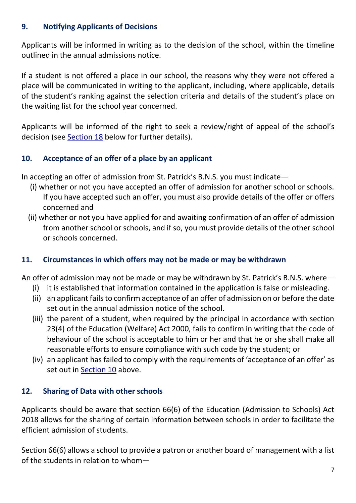## **9. Notifying Applicants of Decisions**

Applicants will be informed in writing as to the decision of the school, within the timeline outlined in the annual admissions notice.

If a student is not offered a place in our school, the reasons why they were not offered a place will be communicated in writing to the applicant, including, where applicable, details of the student's ranking against the selection criteria and details of the student's place on the waiting list for the school year concerned.

Applicants will be informed of the right to seek a review/right of appeal of the school's decision (see [Section 18](#page-9-0) below for further details).

## <span id="page-6-0"></span>**10. Acceptance of an offer of a place by an applicant**

In accepting an offer of admission from St. Patrick's B.N.S. you must indicate—

- (i) whether or not you have accepted an offer of admission for another school or schools. If you have accepted such an offer, you must also provide details of the offer or offers concerned and
- (ii) whether or not you have applied for and awaiting confirmation of an offer of admission from another school or schools, and if so, you must provide details of the other school or schools concerned.

## **11. Circumstances in which offers may not be made or may be withdrawn**

An offer of admission may not be made or may be withdrawn by St. Patrick's B.N.S. where—

- (i) it is established that information contained in the application is false or misleading.
- (ii) an applicant fails to confirm acceptance of an offer of admission on or before the date set out in the annual admission notice of the school.
- (iii) the parent of a student, when required by the principal in accordance with section 23(4) of the Education (Welfare) Act 2000, fails to confirm in writing that the code of behaviour of the school is acceptable to him or her and that he or she shall make all reasonable efforts to ensure compliance with such code by the student; or
- (iv) an applicant has failed to comply with the requirements of 'acceptance of an offer' as set out in [Section](#page-6-0) 10 above.

## **12. Sharing of Data with other schools**

Applicants should be aware that section 66(6) of the Education (Admission to Schools) Act 2018 allows for the sharing of certain information between schools in order to facilitate the efficient admission of students.

Section 66(6) allows a school to provide a patron or another board of management with a list of the students in relation to whom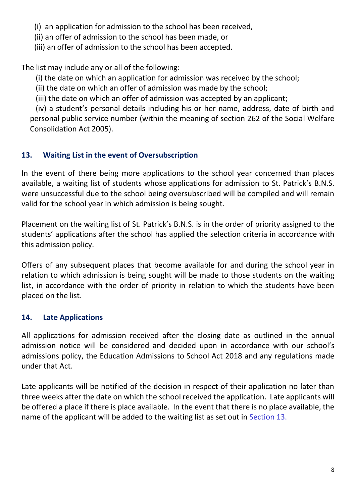(i) an application for admission to the school has been received,

(ii) an offer of admission to the school has been made, or

(iii) an offer of admission to the school has been accepted.

The list may include any or all of the following:

(i) the date on which an application for admission was received by the school;

(ii) the date on which an offer of admission was made by the school;

(iii) the date on which an offer of admission was accepted by an applicant;

 (iv) a student's personal details including his or her name, address, date of birth and personal public service number (within the meaning of section 262 of the Social Welfare Consolidation Act 2005).

## **13. Waiting List in the event of Oversubscription**

In the event of there being more applications to the school year concerned than places available, a waiting list of students whose applications for admission to St. Patrick's B.N.S. were unsuccessful due to the school being oversubscribed will be compiled and will remain valid for the school year in which admission is being sought.

Placement on the waiting list of St. Patrick's B.N.S. is in the order of priority assigned to the students' applications after the school has applied the selection criteria in accordance with this admission policy.

Offers of any subsequent places that become available for and during the school year in relation to which admission is being sought will be made to those students on the waiting list, in accordance with the order of priority in relation to which the students have been placed on the list.

## **14. Late Applications**

All applications for admission received after the closing date as outlined in the annual admission notice will be considered and decided upon in accordance with our school's admissions policy, the Education Admissions to School Act 2018 and any regulations made under that Act.

Late applicants will be notified of the decision in respect of their application no later than three weeks after the date on which the school received the application. Late applicants will be offered a place if there is place available. In the event that there is no place available, the name of the applicant will be added to the waiting list as set out in Section 13.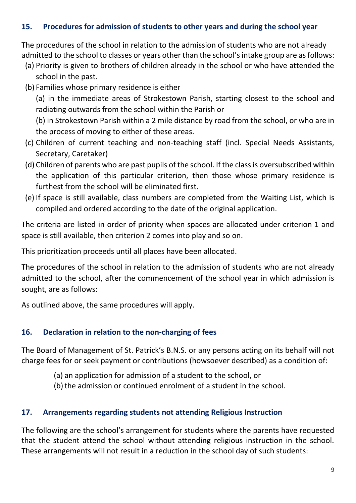## <span id="page-8-0"></span>**15. Procedures for admission of students to other years and during the school year**

The procedures of the school in relation to the admission of students who are not already admitted to the school to classes or years other than the school's intake group are as follows:

- (a) Priority is given to brothers of children already in the school or who have attended the school in the past.
- (b) Families whose primary residence is either

(a) in the immediate areas of Strokestown Parish, starting closest to the school and radiating outwards from the school within the Parish or

(b) in Strokestown Parish within a 2 mile distance by road from the school, or who are in the process of moving to either of these areas.

- (c) Children of current teaching and non-teaching staff (incl. Special Needs Assistants, Secretary, Caretaker)
- (d) Children of parents who are past pupils of the school. If the class is oversubscribed within the application of this particular criterion, then those whose primary residence is furthest from the school will be eliminated first.
- (e) If space is still available, class numbers are completed from the Waiting List, which is compiled and ordered according to the date of the original application.

The criteria are listed in order of priority when spaces are allocated under criterion 1 and space is still available, then criterion 2 comes into play and so on.

This prioritization proceeds until all places have been allocated.

The procedures of the school in relation to the admission of students who are not already admitted to the school, after the commencement of the school year in which admission is sought, are as follows:

As outlined above, the same procedures will apply.

## <span id="page-8-1"></span>**16. Declaration in relation to the non-charging of fees**

The Board of Management of St. Patrick's B.N.S. or any persons acting on its behalf will not charge fees for or seek payment or contributions (howsoever described) as a condition of:

- (a) an application for admission of a student to the school, or
- (b) the admission or continued enrolment of a student in the school.

## **17. Arrangements regarding students not attending Religious Instruction**

The following are the school's arrangement for students where the parents have requested that the student attend the school without attending religious instruction in the school. These arrangements will not result in a reduction in the school day of such students: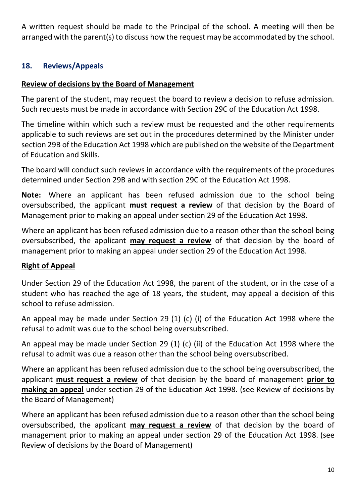<span id="page-9-0"></span>A written request should be made to the Principal of the school. A meeting will then be arranged with the parent(s) to discuss how the request may be accommodated by the school.

## **18. Reviews/Appeals**

## **Review of decisions by the Board of Management**

The parent of the student, may request the board to review a decision to refuse admission. Such requests must be made in accordance with Section 29C of the Education Act 1998.

The timeline within which such a review must be requested and the other requirements applicable to such reviews are set out in the procedures determined by the Minister under section 29B of the Education Act 1998 which are published on the website of the Department of Education and Skills.

The board will conduct such reviews in accordance with the requirements of the procedures determined under Section 29B and with section 29C of the Education Act 1998.

**Note:** Where an applicant has been refused admission due to the school being oversubscribed, the applicant **must request a review** of that decision by the Board of Management prior to making an appeal under section 29 of the Education Act 1998.

Where an applicant has been refused admission due to a reason other than the school being oversubscribed, the applicant **may request a review** of that decision by the board of management prior to making an appeal under section 29 of the Education Act 1998.

## **Right of Appeal**

Under Section 29 of the Education Act 1998, the parent of the student, or in the case of a student who has reached the age of 18 years, the student, may appeal a decision of this school to refuse admission.

An appeal may be made under Section 29 (1) (c) (i) of the Education Act 1998 where the refusal to admit was due to the school being oversubscribed.

An appeal may be made under Section 29 (1) (c) (ii) of the Education Act 1998 where the refusal to admit was due a reason other than the school being oversubscribed.

Where an applicant has been refused admission due to the school being oversubscribed, the applicant **must request a review** of that decision by the board of management **prior to making an appeal** under section 29 of the Education Act 1998. (see Review of decisions by the Board of Management)

Where an applicant has been refused admission due to a reason other than the school being oversubscribed, the applicant **may request a review** of that decision by the board of management prior to making an appeal under section 29 of the Education Act 1998. (see Review of decisions by the Board of Management)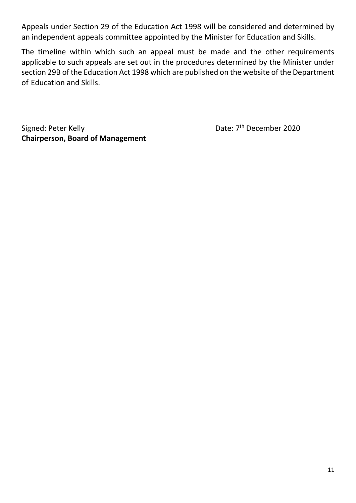Appeals under Section 29 of the Education Act 1998 will be considered and determined by an independent appeals committee appointed by the Minister for Education and Skills.

The timeline within which such an appeal must be made and the other requirements applicable to such appeals are set out in the procedures determined by the Minister under section 29B of the Education Act 1998 which are published on the website of the Department of Education and Skills.

Signed: Peter Kelly **Chairperson, Board of Management** Date: 7<sup>th</sup> December 2020